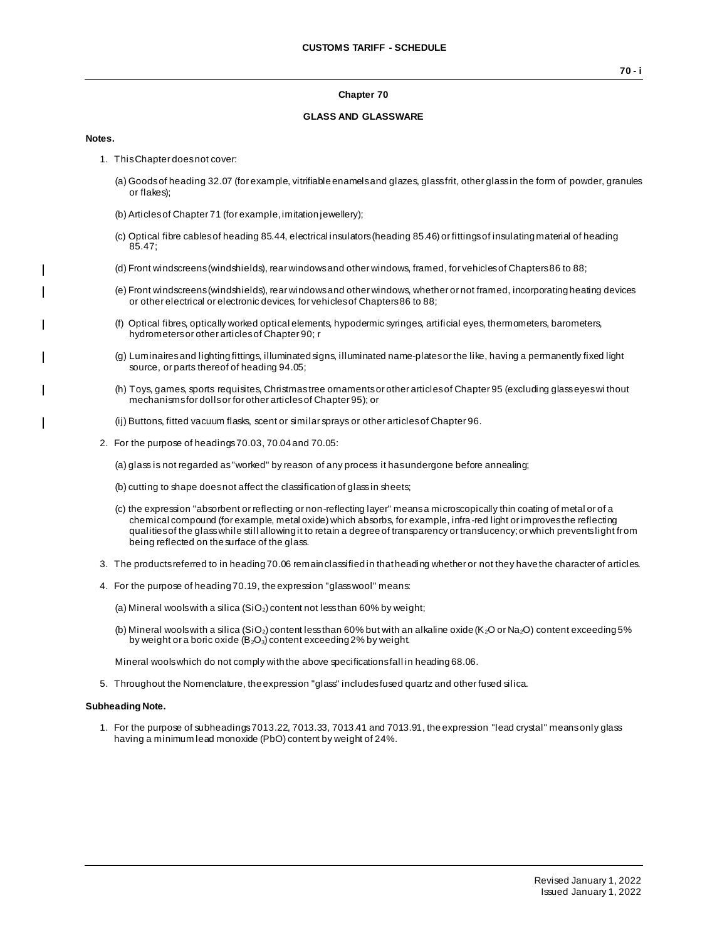### **Chapter 70**

### **GLASS AND GLASSWARE**

#### **Notes.**

 $\blacksquare$ 

 $\overline{\phantom{a}}$ 

- 1. This Chapter does not cover:
	- (a) Goods of heading 32.07 (for example, vitrifiable enamels and glazes, glass frit, other glass in the form of powder, granules or flakes);
	- (b) Articles of Chapter 71 (for example, imitation jewellery);
	- (c) Optical fibre cables of heading 85.44, electrical insulators (heading 85.46) or fittings of insulating material of heading 85.47;
	- (d) Front windscreens (windshields), rear windows and other windows, framed, for vehicles of Chapters 86 to 88;
	- (e) Front windscreens (windshields), rear windows and other windows, whether or not framed, incorporating heating devices or other electrical or electronic devices, for vehicles of Chapters 86 to 88;
	- (f) Optical fibres, optically worked optical elements, hypodermic syringes, artificial eyes, thermometers, barometers, hydrometers or other articles of Chapter 90; r
	- (g) Luminaires and lighting fittings, illuminated signs, illuminated name-plates or the like, having a permanently fixed light source, or parts thereof of heading 94.05;
	- (h) Toys, games, sports requisites, Christmas tree ornaments or other articles of Chapter 95 (excluding glass eyes wi thout mechanisms for dolls or for other articles of Chapter 95); or
	- (ij) Buttons, fitted vacuum flasks, scent or similar sprays or other articles of Chapter 96.
- 2. For the purpose of headings 70.03, 70.04 and 70.05:

(a) glass is not regarded as "worked" by reason of any process it has undergone before annealing;

- (b) cutting to shape does not affect the classification of glass in sheets;
- (c) the expression "absorbent or reflecting or non-reflecting layer" means a microscopically thin coating of metal or of a chemical compound (for example, metal oxide) which absorbs, for example, infra-red light or improves the reflecting qualities of the glass while still allowing it to retain a degree of transparency or translucency; or which prevents light from being reflected on the surface of the glass.
- 3. The products referred to in heading 70.06 remain classified in that heading whether or not they have the character of articles.
- 4. For the purpose of heading 70.19, the expression "glass wool" means:
	- (a) Mineral wools with a silica (SiO<sub>2</sub>) content not less than 60% by weight;
	- (b) Mineral wools with a silica (SiO<sub>2</sub>) content less than 60% but with an alkaline oxide (K<sub>2</sub>O or Na<sub>2</sub>O) content exceeding 5% by weight or a boric oxide  $(B_2O_3)$  content exceeding 2% by weight.

Mineral wools which do not comply with the above specifications fall in heading 68.06.

5. Throughout the Nomenclature, the expression "glass" includes fused quartz and other fused silica.

#### **Subheading Note.**

1. For the purpose of subheadings 7013.22, 7013.33, 7013.41 and 7013.91, the expression "lead crystal" means only glass having a minimum lead monoxide (PbO) content by weight of 24%.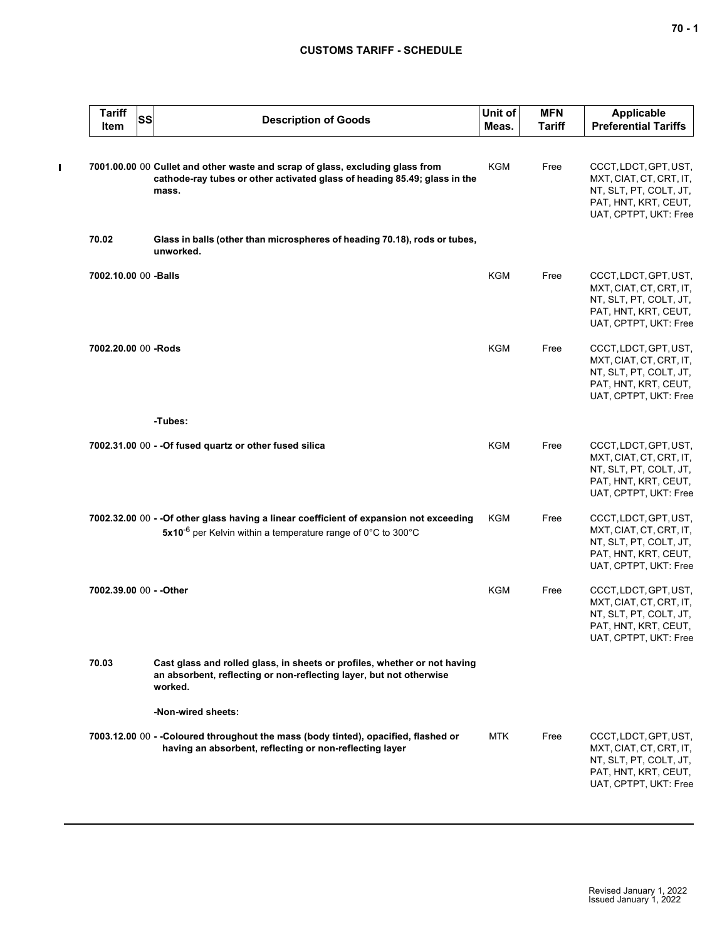$\blacksquare$ 

| <b>Tariff</b><br>Item   | <b>SS</b> | <b>Description of Goods</b>                                                                                                                                         | Unit of<br>Meas. | <b>MFN</b><br><b>Tariff</b> | <b>Applicable</b><br><b>Preferential Tariffs</b>                                                                            |
|-------------------------|-----------|---------------------------------------------------------------------------------------------------------------------------------------------------------------------|------------------|-----------------------------|-----------------------------------------------------------------------------------------------------------------------------|
|                         |           | 7001.00.00 00 Cullet and other waste and scrap of glass, excluding glass from<br>cathode-ray tubes or other activated glass of heading 85.49; glass in the<br>mass. | <b>KGM</b>       | Free                        | CCCT, LDCT, GPT, UST,<br>MXT, CIAT, CT, CRT, IT,<br>NT, SLT, PT, COLT, JT,<br>PAT, HNT, KRT, CEUT,<br>UAT, CPTPT, UKT: Free |
| 70.02                   |           | Glass in balls (other than microspheres of heading 70.18), rods or tubes,<br>unworked.                                                                              |                  |                             |                                                                                                                             |
| 7002.10.00 00 -Balls    |           |                                                                                                                                                                     | <b>KGM</b>       | Free                        | CCCT, LDCT, GPT, UST,<br>MXT, CIAT, CT, CRT, IT,<br>NT, SLT, PT, COLT, JT,<br>PAT, HNT, KRT, CEUT,<br>UAT, CPTPT, UKT: Free |
| 7002.20.00 00 -Rods     |           |                                                                                                                                                                     | <b>KGM</b>       | Free                        | CCCT, LDCT, GPT, UST,<br>MXT, CIAT, CT, CRT, IT,<br>NT, SLT, PT, COLT, JT,<br>PAT, HNT, KRT, CEUT,<br>UAT, CPTPT, UKT: Free |
|                         |           | -Tubes:                                                                                                                                                             |                  |                             |                                                                                                                             |
|                         |           | 7002.31.00 00 - - Of fused quartz or other fused silica                                                                                                             | KGM              | Free                        | CCCT, LDCT, GPT, UST,<br>MXT, CIAT, CT, CRT, IT,<br>NT, SLT, PT, COLT, JT,<br>PAT, HNT, KRT, CEUT,<br>UAT, CPTPT, UKT: Free |
|                         |           | 7002.32.00 00 - - Of other glass having a linear coefficient of expansion not exceeding<br>5x10 <sup>-6</sup> per Kelvin within a temperature range of 0°C to 300°C | KGM              | Free                        | CCCT, LDCT, GPT, UST,<br>MXT, CIAT, CT, CRT, IT,<br>NT, SLT, PT, COLT, JT,<br>PAT, HNT, KRT, CEUT,<br>UAT, CPTPT, UKT: Free |
| 7002.39.00 00 - - Other |           |                                                                                                                                                                     | <b>KGM</b>       | Free                        | CCCT, LDCT, GPT, UST,<br>MXT, CIAT, CT, CRT, IT,<br>NT, SLT, PT, COLT, JT,<br>PAT, HNT, KRT, CEUT,<br>UAT, CPTPT, UKT: Free |
| 70.03                   |           | Cast glass and rolled glass, in sheets or profiles, whether or not having<br>an absorbent, reflecting or non-reflecting layer, but not otherwise<br>worked.         |                  |                             |                                                                                                                             |
|                         |           | -Non-wired sheets:                                                                                                                                                  |                  |                             |                                                                                                                             |
|                         |           | 7003.12.00 00 - -Coloured throughout the mass (body tinted), opacified, flashed or<br>having an absorbent, reflecting or non-reflecting layer                       | <b>MTK</b>       | Free                        | CCCT, LDCT, GPT, UST,<br>MXT, CIAT, CT, CRT, IT,<br>NT, SLT, PT, COLT, JT,<br>PAT, HNT, KRT, CEUT,<br>UAT, CPTPT, UKT: Free |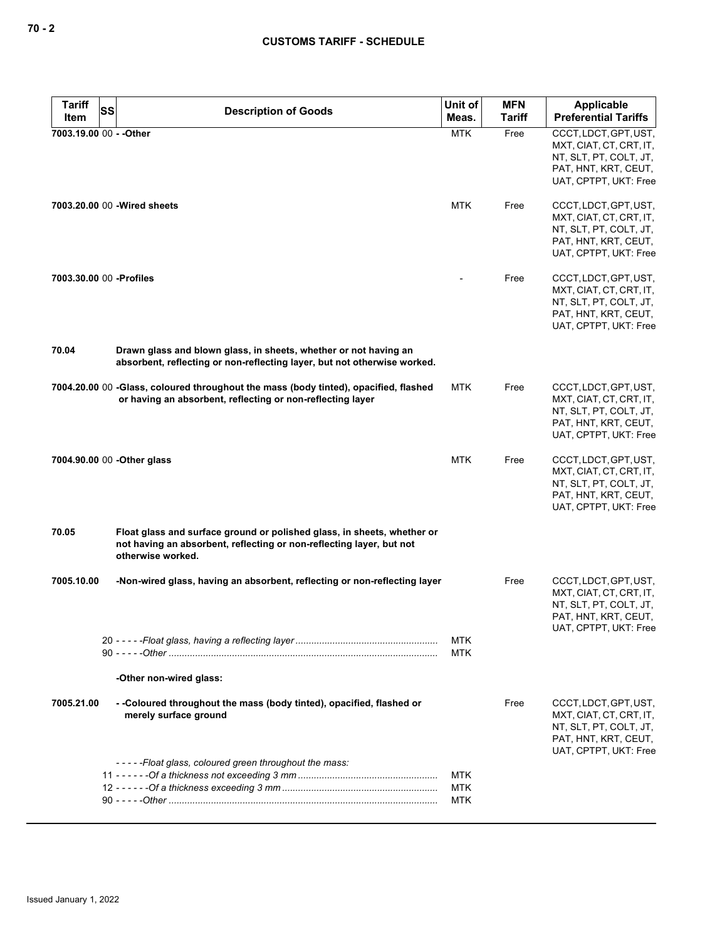| <b>Tariff</b>            | SS                                                                                                                                                                   | Unit of                         | <b>MFN</b> | <b>Applicable</b>                                                                                                           |
|--------------------------|----------------------------------------------------------------------------------------------------------------------------------------------------------------------|---------------------------------|------------|-----------------------------------------------------------------------------------------------------------------------------|
| Item                     | <b>Description of Goods</b>                                                                                                                                          | Meas.                           | Tariff     | <b>Preferential Tariffs</b>                                                                                                 |
| 7003.19.00 00 - - Other  |                                                                                                                                                                      | <b>MTK</b>                      | Free       | CCCT, LDCT, GPT, UST,<br>MXT, CIAT, CT, CRT, IT,<br>NT, SLT, PT, COLT, JT,<br>PAT, HNT, KRT, CEUT,<br>UAT, CPTPT, UKT: Free |
|                          | 7003.20.00 00 - Wired sheets                                                                                                                                         | <b>MTK</b>                      | Free       | CCCT, LDCT, GPT, UST,<br>MXT, CIAT, CT, CRT, IT,<br>NT, SLT, PT, COLT, JT,<br>PAT, HNT, KRT, CEUT,<br>UAT, CPTPT, UKT: Free |
| 7003.30.00 00 - Profiles |                                                                                                                                                                      |                                 | Free       | CCCT, LDCT, GPT, UST,<br>MXT, CIAT, CT, CRT, IT,<br>NT, SLT, PT, COLT, JT,<br>PAT, HNT, KRT, CEUT,<br>UAT, CPTPT, UKT: Free |
| 70.04                    | Drawn glass and blown glass, in sheets, whether or not having an<br>absorbent, reflecting or non-reflecting layer, but not otherwise worked.                         |                                 |            |                                                                                                                             |
|                          | 7004.20.00 00 -Glass, coloured throughout the mass (body tinted), opacified, flashed<br>or having an absorbent, reflecting or non-reflecting layer                   | MTK                             | Free       | CCCT, LDCT, GPT, UST,<br>MXT, CIAT, CT, CRT, IT,<br>NT, SLT, PT, COLT, JT,<br>PAT, HNT, KRT, CEUT,<br>UAT, CPTPT, UKT: Free |
|                          | 7004.90.00 00 - Other glass                                                                                                                                          | <b>MTK</b>                      | Free       | CCCT, LDCT, GPT, UST,<br>MXT, CIAT, CT, CRT, IT,<br>NT, SLT, PT, COLT, JT,<br>PAT, HNT, KRT, CEUT,<br>UAT, CPTPT, UKT: Free |
| 70.05                    | Float glass and surface ground or polished glass, in sheets, whether or<br>not having an absorbent, reflecting or non-reflecting layer, but not<br>otherwise worked. |                                 |            |                                                                                                                             |
| 7005.10.00               | -Non-wired glass, having an absorbent, reflecting or non-reflecting layer                                                                                            |                                 | Free       | CCCT, LDCT, GPT, UST,<br>MXT, CIAT, CT, CRT, IT,<br>NT, SLT, PT, COLT, JT,<br>PAT, HNT, KRT, CEUT,<br>UAT, CPTPT, UKT: Free |
|                          |                                                                                                                                                                      | <b>MTK</b><br><b>MTK</b>        |            |                                                                                                                             |
|                          | -Other non-wired glass:                                                                                                                                              |                                 |            |                                                                                                                             |
| 7005.21.00               | - -Coloured throughout the mass (body tinted), opacified, flashed or<br>merely surface ground                                                                        |                                 | Free       | CCCT, LDCT, GPT, UST,<br>MXT, CIAT, CT, CRT, IT,<br>NT, SLT, PT, COLT, JT,<br>PAT, HNT, KRT, CEUT,<br>UAT, CPTPT, UKT: Free |
|                          | -----Float glass, coloured green throughout the mass:                                                                                                                | <b>MTK</b><br><b>MTK</b><br>MTK |            |                                                                                                                             |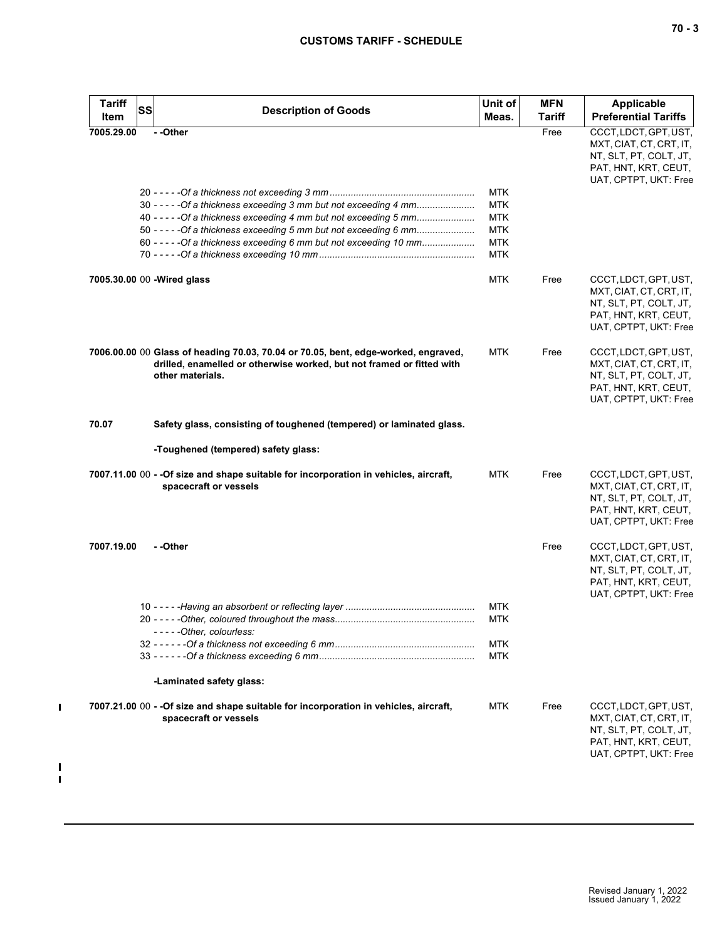| <b>Tariff</b><br>Item | <b>SS</b><br><b>Description of Goods</b>                                                                                                                                                                    | Unit of<br>Meas.                                     | <b>MFN</b><br><b>Tariff</b> | <b>Applicable</b><br><b>Preferential Tariffs</b>                                                                            |
|-----------------------|-------------------------------------------------------------------------------------------------------------------------------------------------------------------------------------------------------------|------------------------------------------------------|-----------------------------|-----------------------------------------------------------------------------------------------------------------------------|
| 7005.29.00            | --Other                                                                                                                                                                                                     |                                                      | Free                        | CCCT, LDCT, GPT, UST,<br>MXT, CIAT, CT, CRT, IT,<br>NT, SLT, PT, COLT, JT,<br>PAT, HNT, KRT, CEUT,<br>UAT, CPTPT, UKT: Free |
|                       | 30 - - - - - Of a thickness exceeding 3 mm but not exceeding 4 mm<br>40 - - - - - Of a thickness exceeding 4 mm but not exceeding 5 mm<br>50 - - - - - Of a thickness exceeding 5 mm but not exceeding 6 mm | <b>MTK</b><br><b>MTK</b><br><b>MTK</b><br><b>MTK</b> |                             |                                                                                                                             |
|                       | 60 - - - - - Of a thickness exceeding 6 mm but not exceeding 10 mm                                                                                                                                          | <b>MTK</b><br><b>MTK</b>                             |                             |                                                                                                                             |
|                       | 7005.30.00 00 - Wired glass                                                                                                                                                                                 | <b>MTK</b>                                           | Free                        | CCCT, LDCT, GPT, UST,<br>MXT, CIAT, CT, CRT, IT,<br>NT, SLT, PT, COLT, JT,<br>PAT, HNT, KRT, CEUT,<br>UAT, CPTPT, UKT: Free |
|                       | 7006.00.00 00 Glass of heading 70.03, 70.04 or 70.05, bent, edge-worked, engraved,<br>drilled, enamelled or otherwise worked, but not framed or fitted with<br>other materials.                             | <b>MTK</b>                                           | Free                        | CCCT, LDCT, GPT, UST,<br>MXT, CIAT, CT, CRT, IT,<br>NT, SLT, PT, COLT, JT,<br>PAT, HNT, KRT, CEUT,<br>UAT, CPTPT, UKT: Free |
| 70.07                 | Safety glass, consisting of toughened (tempered) or laminated glass.                                                                                                                                        |                                                      |                             |                                                                                                                             |
|                       | -Toughened (tempered) safety glass:                                                                                                                                                                         |                                                      |                             |                                                                                                                             |
|                       | 7007.11.00 00 - - Of size and shape suitable for incorporation in vehicles, aircraft,<br>spacecraft or vessels                                                                                              | <b>MTK</b>                                           | Free                        | CCCT, LDCT, GPT, UST,<br>MXT, CIAT, CT, CRT, IT,<br>NT, SLT, PT, COLT, JT,<br>PAT, HNT, KRT, CEUT,<br>UAT, CPTPT, UKT: Free |
| 7007.19.00            | - -Other                                                                                                                                                                                                    |                                                      | Free                        | CCCT, LDCT, GPT, UST,<br>MXT, CIAT, CT, CRT, IT,<br>NT, SLT, PT, COLT, JT,<br>PAT, HNT, KRT, CEUT,<br>UAT, CPTPT, UKT: Free |
|                       | -----Other, colourless:                                                                                                                                                                                     | <b>MTK</b><br><b>MTK</b>                             |                             |                                                                                                                             |
|                       |                                                                                                                                                                                                             | <b>MTK</b><br><b>MTK</b>                             |                             |                                                                                                                             |
|                       | -Laminated safety glass:                                                                                                                                                                                    |                                                      |                             |                                                                                                                             |
|                       | 7007.21.00 00 - - Of size and shape suitable for incorporation in vehicles, aircraft,<br>spacecraft or vessels                                                                                              | <b>MTK</b>                                           | Free                        | CCCT, LDCT, GPT, UST,<br>MXT, CIAT, CT, CRT, IT,<br>NT, SLT, PT, COLT, JT,<br>PAT, HNT, KRT, CEUT,<br>UAT, CPTPT, UKT: Free |

 $\mathbf{I}$ 

 $\frac{1}{1}$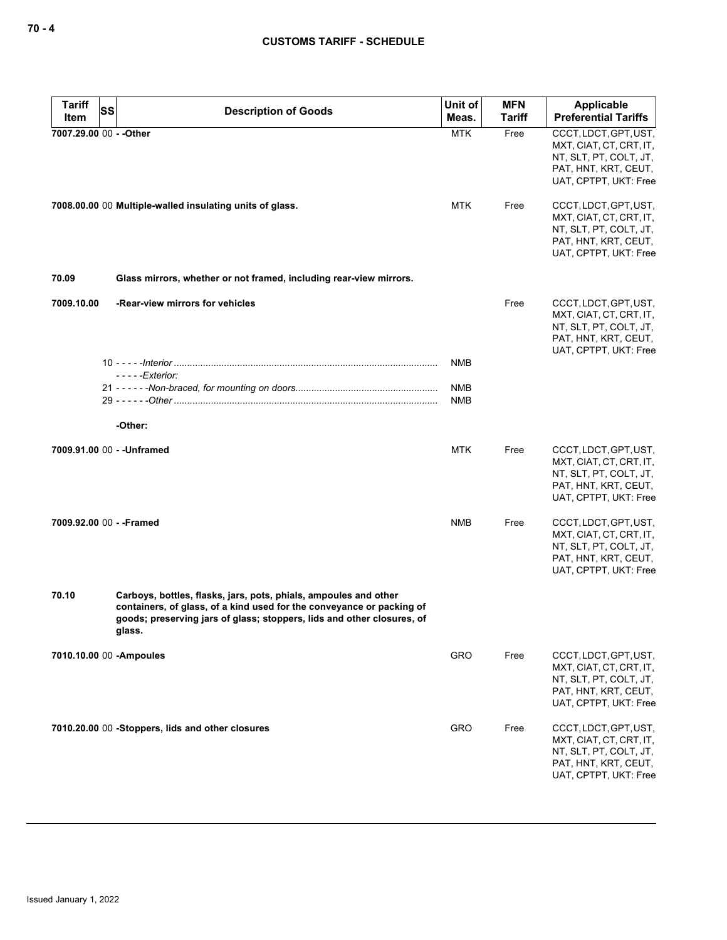| Tariff<br><b>SS</b><br>Item | <b>Description of Goods</b>                                                                                                                                                                                                   | Unit of<br>Meas.         | <b>MFN</b><br><b>Tariff</b> | Applicable<br><b>Preferential Tariffs</b>                                                                                   |
|-----------------------------|-------------------------------------------------------------------------------------------------------------------------------------------------------------------------------------------------------------------------------|--------------------------|-----------------------------|-----------------------------------------------------------------------------------------------------------------------------|
| 7007.29.00 00 - - Other     |                                                                                                                                                                                                                               | <b>MTK</b>               | Free                        | CCCT, LDCT, GPT, UST,<br>MXT, CIAT, CT, CRT, IT,<br>NT, SLT, PT, COLT, JT,<br>PAT, HNT, KRT, CEUT,<br>UAT, CPTPT, UKT: Free |
|                             | 7008.00.00 00 Multiple-walled insulating units of glass.                                                                                                                                                                      | <b>MTK</b>               | Free                        | CCCT, LDCT, GPT, UST,<br>MXT, CIAT, CT, CRT, IT,<br>NT, SLT, PT, COLT, JT,<br>PAT, HNT, KRT, CEUT,<br>UAT, CPTPT, UKT: Free |
| 70.09                       | Glass mirrors, whether or not framed, including rear-view mirrors.                                                                                                                                                            |                          |                             |                                                                                                                             |
| 7009.10.00                  | -Rear-view mirrors for vehicles                                                                                                                                                                                               |                          | Free                        | CCCT, LDCT, GPT, UST,<br>MXT, CIAT, CT, CRT, IT,<br>NT, SLT, PT, COLT, JT,<br>PAT, HNT, KRT, CEUT,<br>UAT, CPTPT, UKT: Free |
|                             | $---Exterior$                                                                                                                                                                                                                 | <b>NMB</b>               |                             |                                                                                                                             |
|                             |                                                                                                                                                                                                                               | <b>NMB</b><br><b>NMB</b> |                             |                                                                                                                             |
|                             | -Other:                                                                                                                                                                                                                       |                          |                             |                                                                                                                             |
|                             | 7009.91.00 00 - - Unframed                                                                                                                                                                                                    | <b>MTK</b>               | Free                        | CCCT, LDCT, GPT, UST,<br>MXT, CIAT, CT, CRT, IT,<br>NT, SLT, PT, COLT, JT,<br>PAT, HNT, KRT, CEUT,<br>UAT, CPTPT, UKT: Free |
| 7009.92.00 00 - - Framed    |                                                                                                                                                                                                                               | <b>NMB</b>               | Free                        | CCCT, LDCT, GPT, UST,<br>MXT, CIAT, CT, CRT, IT,<br>NT, SLT, PT, COLT, JT,<br>PAT, HNT, KRT, CEUT,<br>UAT, CPTPT, UKT: Free |
| 70.10                       | Carboys, bottles, flasks, jars, pots, phials, ampoules and other<br>containers, of glass, of a kind used for the conveyance or packing of<br>goods; preserving jars of glass; stoppers, lids and other closures, of<br>glass. |                          |                             |                                                                                                                             |
|                             | 7010.10.00 00 - Ampoules                                                                                                                                                                                                      | GRO                      | Free                        | CCCT, LDCT, GPT, UST,<br>MXT, CIAT, CT, CRT, IT,<br>NT, SLT, PT, COLT, JT,<br>PAT, HNT, KRT, CEUT,<br>UAT, CPTPT, UKT: Free |
|                             | 7010.20.00 00 -Stoppers, lids and other closures                                                                                                                                                                              | <b>GRO</b>               | Free                        | CCCT, LDCT, GPT, UST,<br>MXT, CIAT, CT, CRT, IT,<br>NT, SLT, PT, COLT, JT,<br>PAT, HNT, KRT, CEUT,<br>UAT, CPTPT, UKT: Free |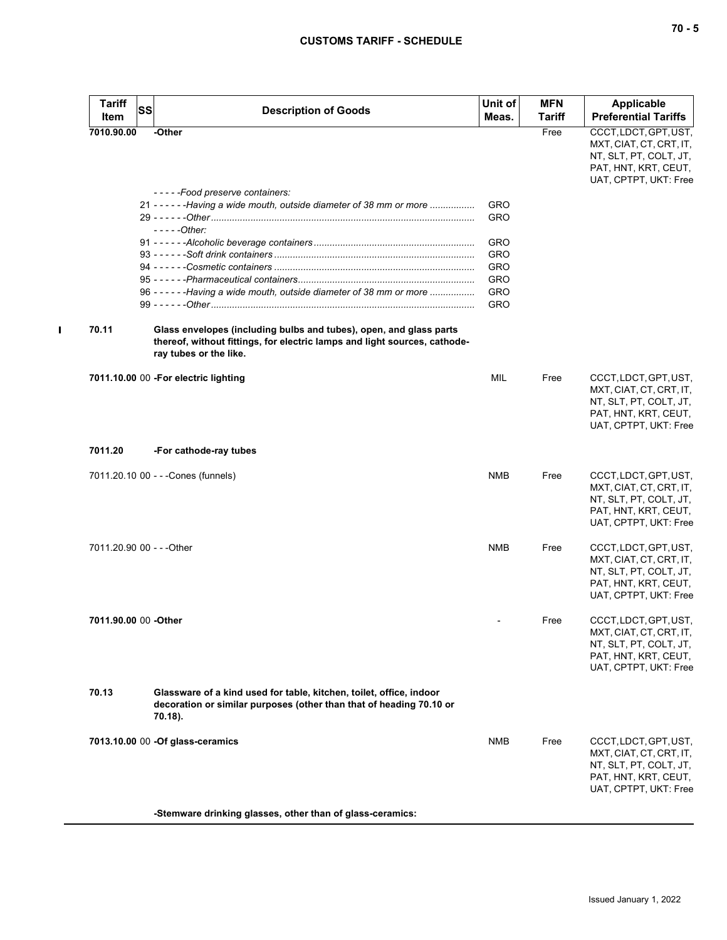| <b>Tariff</b><br><b>SS</b><br>Item | <b>Description of Goods</b>                                                                                                                                               | Unit of<br>Meas. | <b>MFN</b><br><b>Tariff</b> | <b>Applicable</b><br><b>Preferential Tariffs</b>                                                                            |
|------------------------------------|---------------------------------------------------------------------------------------------------------------------------------------------------------------------------|------------------|-----------------------------|-----------------------------------------------------------------------------------------------------------------------------|
| 7010.90.00                         | -Other                                                                                                                                                                    |                  | Free                        | CCCT, LDCT, GPT, UST,<br>MXT, CIAT, CT, CRT, IT,                                                                            |
|                                    |                                                                                                                                                                           |                  |                             | NT, SLT, PT, COLT, JT,<br>PAT, HNT, KRT, CEUT,<br>UAT, CPTPT, UKT: Free                                                     |
|                                    | -----Food preserve containers:                                                                                                                                            |                  |                             |                                                                                                                             |
|                                    | 21 - - - - - - - Having a wide mouth, outside diameter of 38 mm or more                                                                                                   | GRO              |                             |                                                                                                                             |
|                                    | $---Other:$                                                                                                                                                               | GRO              |                             |                                                                                                                             |
|                                    |                                                                                                                                                                           | GRO              |                             |                                                                                                                             |
|                                    |                                                                                                                                                                           | GRO              |                             |                                                                                                                             |
|                                    |                                                                                                                                                                           | GRO              |                             |                                                                                                                             |
|                                    |                                                                                                                                                                           | GRO              |                             |                                                                                                                             |
|                                    | 96 - - - - - - Having a wide mouth, outside diameter of 38 mm or more                                                                                                     | GRO              |                             |                                                                                                                             |
|                                    |                                                                                                                                                                           | GRO              |                             |                                                                                                                             |
| 70.11                              | Glass envelopes (including bulbs and tubes), open, and glass parts<br>thereof, without fittings, for electric lamps and light sources, cathode-<br>ray tubes or the like. |                  |                             |                                                                                                                             |
|                                    | 7011.10.00 00 - For electric lighting                                                                                                                                     | <b>MIL</b>       | Free                        | CCCT, LDCT, GPT, UST,<br>MXT, CIAT, CT, CRT, IT,<br>NT, SLT, PT, COLT, JT,<br>PAT, HNT, KRT, CEUT,<br>UAT, CPTPT, UKT: Free |
| 7011.20                            | -For cathode-ray tubes                                                                                                                                                    |                  |                             |                                                                                                                             |
|                                    | 7011.20.10 00 - - - Cones (funnels)                                                                                                                                       | <b>NMB</b>       | Free                        | CCCT, LDCT, GPT, UST,<br>MXT, CIAT, CT, CRT, IT,<br>NT, SLT, PT, COLT, JT,<br>PAT, HNT, KRT, CEUT,<br>UAT, CPTPT, UKT: Free |
| 7011.20.90 00 - - - Other          |                                                                                                                                                                           | <b>NMB</b>       | Free                        | CCCT, LDCT, GPT, UST,<br>MXT, CIAT, CT, CRT, IT,<br>NT, SLT, PT, COLT, JT,<br>PAT, HNT, KRT, CEUT,<br>UAT, CPTPT, UKT: Free |
| 7011.90.00 00 - Other              |                                                                                                                                                                           |                  | Free                        | CCCT, LDCT, GPT, UST,<br>MXT, CIAT, CT, CRT, IT,<br>NT, SLT, PT, COLT, JT,<br>PAT, HNT, KRT, CEUT,<br>UAT, CPTPT, UKT: Free |
| 70.13                              | Glassware of a kind used for table, kitchen, toilet, office, indoor<br>decoration or similar purposes (other than that of heading 70.10 or<br>70.18).                     |                  |                             |                                                                                                                             |
|                                    | 7013.10.00 00 -Of glass-ceramics<br>Ctomuare drinking gloogen, other than of gloog coromic                                                                                | <b>NMB</b>       | Free                        | CCCT, LDCT, GPT, UST,<br>MXT, CIAT, CT, CRT, IT,<br>NT, SLT, PT, COLT, JT,<br>PAT, HNT, KRT, CEUT,<br>UAT, CPTPT, UKT: Free |

**-Stemware drinking glasses, other than of glass-ceramics:**

 $\blacksquare$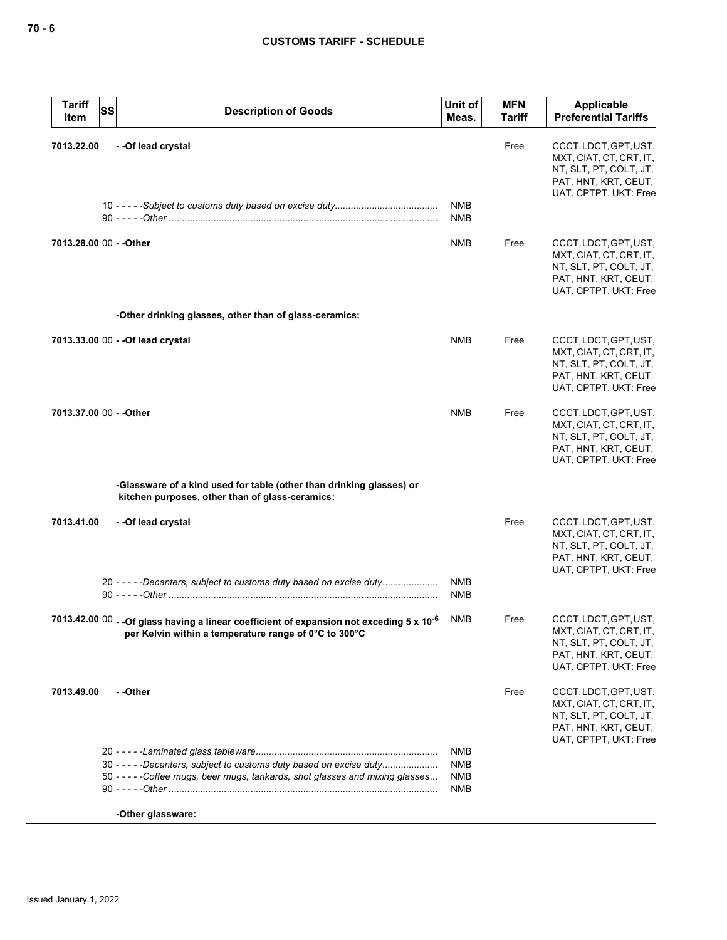| <b>Tariff</b><br>Item | <b>SS</b><br><b>Description of Goods</b>                                                                                                                       | Unit of<br>Meas.                | <b>MFN</b><br><b>Tariff</b> | <b>Applicable</b><br><b>Preferential Tariffs</b>                                                                            |
|-----------------------|----------------------------------------------------------------------------------------------------------------------------------------------------------------|---------------------------------|-----------------------------|-----------------------------------------------------------------------------------------------------------------------------|
| 7013.22.00            | -- Of lead crystal                                                                                                                                             | <b>NMB</b><br><b>NMB</b>        | Free                        | CCCT, LDCT, GPT, UST,<br>MXT, CIAT, CT, CRT, IT,<br>NT, SLT, PT, COLT, JT,<br>PAT, HNT, KRT, CEUT,<br>UAT, CPTPT, UKT: Free |
|                       | 7013.28.00 00 - - Other                                                                                                                                        | NMB                             | Free                        | CCCT, LDCT, GPT, UST,<br>MXT, CIAT, CT, CRT, IT,<br>NT, SLT, PT, COLT, JT,<br>PAT, HNT, KRT, CEUT,<br>UAT, CPTPT, UKT: Free |
|                       | -Other drinking glasses, other than of glass-ceramics:                                                                                                         |                                 |                             |                                                                                                                             |
|                       | 7013.33.00 00 - - Of lead crystal                                                                                                                              | <b>NMB</b>                      | Free                        | CCCT, LDCT, GPT, UST,<br>MXT, CIAT, CT, CRT, IT,<br>NT, SLT, PT, COLT, JT,<br>PAT, HNT, KRT, CEUT,<br>UAT, CPTPT, UKT: Free |
|                       | 7013.37.00 00 - - Other                                                                                                                                        | <b>NMB</b>                      | Free                        | CCCT, LDCT, GPT, UST,<br>MXT, CIAT, CT, CRT, IT,<br>NT, SLT, PT, COLT, JT,<br>PAT, HNT, KRT, CEUT,<br>UAT, CPTPT, UKT: Free |
|                       | -Glassware of a kind used for table (other than drinking glasses) or<br>kitchen purposes, other than of glass-ceramics:                                        |                                 |                             |                                                                                                                             |
| 7013.41.00            | --Of lead crystal<br>20 - - - - - Decanters, subject to customs duty based on excise duty                                                                      | <b>NMB</b><br><b>NMB</b>        | Free                        | CCCT, LDCT, GPT, UST,<br>MXT, CIAT, CT, CRT, IT,<br>NT, SLT, PT, COLT, JT,<br>PAT, HNT, KRT, CEUT,<br>UAT, CPTPT, UKT: Free |
|                       | 7013.42.00 00 - - Of glass having a linear coefficient of expansion not exceding 5 x 10 <sup>-6</sup><br>per Kelvin within a temperature range of 0°C to 300°C | NMB                             | Free                        | CCCT, LDCT, GPT, UST,<br>MXT, CIAT, CT, CRT, IT,<br>NT, SLT, PT, COLT, JT,<br>PAT, HNT, KRT, CEUT,<br>UAT, CPTPT, UKT: Free |
| 7013.49.00            | - -Other                                                                                                                                                       |                                 | Free                        | CCCT, LDCT, GPT, UST,<br>MXT, CIAT, CT, CRT, IT,<br>NT, SLT, PT, COLT, JT,<br>PAT, HNT, KRT, CEUT,<br>UAT, CPTPT, UKT: Free |
|                       | 30 - - - - - Decanters, subject to customs duty based on excise duty<br>50 -----Coffee mugs, beer mugs, tankards, shot glasses and mixing glasses              | NMB<br><b>NMB</b><br>NMB<br>NMB |                             |                                                                                                                             |
|                       | -Other glassware:                                                                                                                                              |                                 |                             |                                                                                                                             |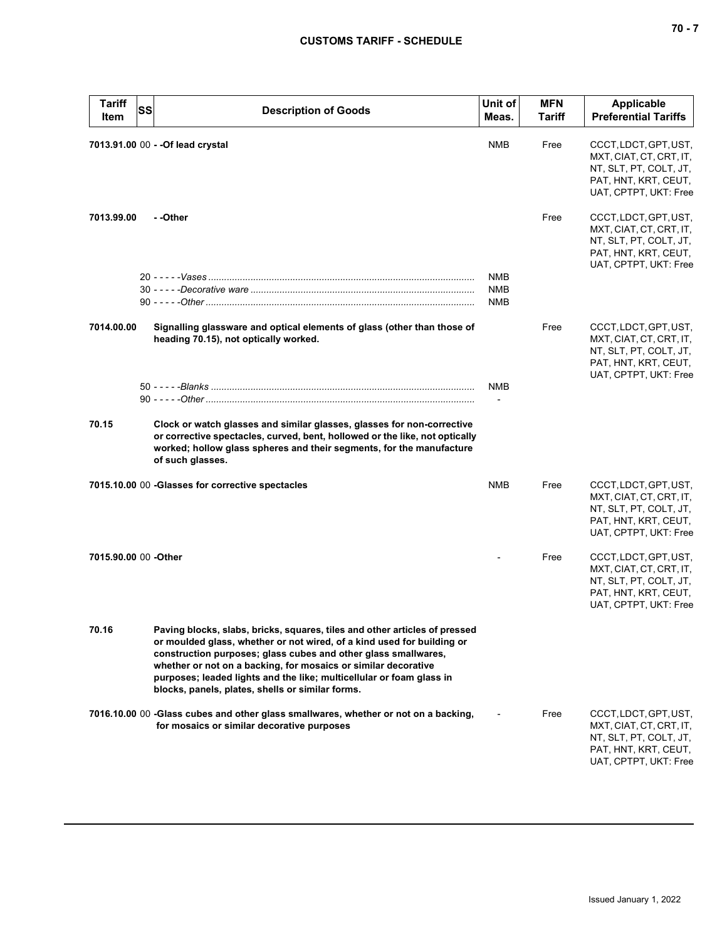| <b>Tariff</b><br>Item | SS<br><b>Description of Goods</b>                                                                                                                                                                                                                                                                                                                                                                                    | Unit of<br>Meas.                | <b>MFN</b><br>Tariff | <b>Applicable</b><br><b>Preferential Tariffs</b>                                                                            |
|-----------------------|----------------------------------------------------------------------------------------------------------------------------------------------------------------------------------------------------------------------------------------------------------------------------------------------------------------------------------------------------------------------------------------------------------------------|---------------------------------|----------------------|-----------------------------------------------------------------------------------------------------------------------------|
|                       | 7013.91.00 00 - - Of lead crystal                                                                                                                                                                                                                                                                                                                                                                                    | <b>NMB</b>                      | Free                 | CCCT, LDCT, GPT, UST,<br>MXT, CIAT, CT, CRT, IT,<br>NT, SLT, PT, COLT, JT,<br>PAT, HNT, KRT, CEUT,<br>UAT, CPTPT, UKT: Free |
| 7013.99.00            | - -Other                                                                                                                                                                                                                                                                                                                                                                                                             |                                 | Free                 | CCCT, LDCT, GPT, UST,<br>MXT, CIAT, CT, CRT, IT,<br>NT, SLT, PT, COLT, JT,<br>PAT, HNT, KRT, CEUT,<br>UAT, CPTPT, UKT: Free |
|                       |                                                                                                                                                                                                                                                                                                                                                                                                                      | <b>NMB</b><br><b>NMB</b><br>NMB |                      |                                                                                                                             |
| 7014.00.00            | Signalling glassware and optical elements of glass (other than those of<br>heading 70.15), not optically worked.                                                                                                                                                                                                                                                                                                     |                                 | Free                 | CCCT, LDCT, GPT, UST,<br>MXT, CIAT, CT, CRT, IT,<br>NT, SLT, PT, COLT, JT,<br>PAT, HNT, KRT, CEUT,<br>UAT, CPTPT, UKT: Free |
|                       |                                                                                                                                                                                                                                                                                                                                                                                                                      | <b>NMB</b>                      |                      |                                                                                                                             |
| 70.15                 | Clock or watch glasses and similar glasses, glasses for non-corrective<br>or corrective spectacles, curved, bent, hollowed or the like, not optically<br>worked; hollow glass spheres and their segments, for the manufacture<br>of such glasses.                                                                                                                                                                    |                                 |                      |                                                                                                                             |
|                       | 7015.10.00 00 -Glasses for corrective spectacles                                                                                                                                                                                                                                                                                                                                                                     | <b>NMB</b>                      | Free                 | CCCT, LDCT, GPT, UST,<br>MXT, CIAT, CT, CRT, IT,<br>NT, SLT, PT, COLT, JT,<br>PAT, HNT, KRT, CEUT,<br>UAT, CPTPT, UKT: Free |
| 7015.90.00 00 -Other  |                                                                                                                                                                                                                                                                                                                                                                                                                      |                                 | Free                 | CCCT, LDCT, GPT, UST,<br>MXT, CIAT, CT, CRT, IT,<br>NT, SLT, PT, COLT, JT,<br>PAT, HNT, KRT, CEUT,<br>UAT, CPTPT, UKT: Free |
| 70.16                 | Paving blocks, slabs, bricks, squares, tiles and other articles of pressed<br>or moulded glass, whether or not wired, of a kind used for building or<br>construction purposes; glass cubes and other glass smallwares,<br>whether or not on a backing, for mosaics or similar decorative<br>purposes; leaded lights and the like; multicellular or foam glass in<br>blocks, panels, plates, shells or similar forms. |                                 |                      |                                                                                                                             |
|                       | 7016.10.00 00 -Glass cubes and other glass smallwares, whether or not on a backing,<br>for mosaics or similar decorative purposes                                                                                                                                                                                                                                                                                    |                                 | Free                 | CCCT, LDCT, GPT, UST,<br>MXT, CIAT, CT, CRT, IT,<br>NT, SLT, PT, COLT, JT,<br>PAT, HNT, KRT, CEUT,<br>UAT, CPTPT, UKT: Free |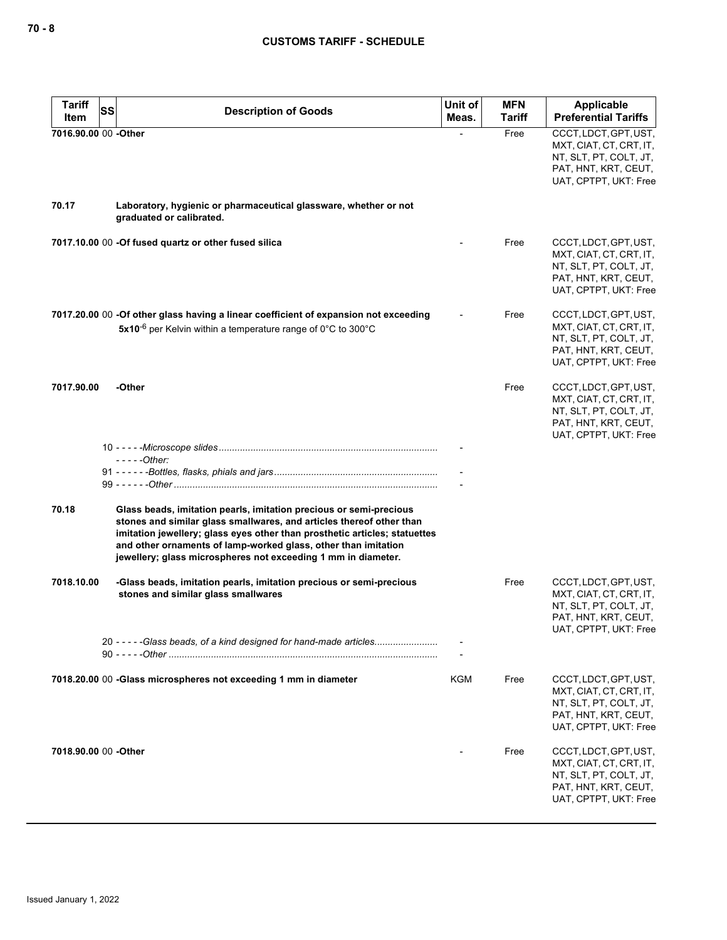| <b>Tariff</b><br>SS<br>Item | <b>Description of Goods</b>                                                                                                                                                                                                                                                                                                                                 | Unit of<br>Meas. | <b>MFN</b><br><b>Tariff</b> | Applicable<br><b>Preferential Tariffs</b>                                                                                   |
|-----------------------------|-------------------------------------------------------------------------------------------------------------------------------------------------------------------------------------------------------------------------------------------------------------------------------------------------------------------------------------------------------------|------------------|-----------------------------|-----------------------------------------------------------------------------------------------------------------------------|
| 7016.90.00 00 -Other        |                                                                                                                                                                                                                                                                                                                                                             |                  | Free                        | CCCT, LDCT, GPT, UST,<br>MXT, CIAT, CT, CRT, IT,<br>NT, SLT, PT, COLT, JT,<br>PAT, HNT, KRT, CEUT,<br>UAT, CPTPT, UKT: Free |
| 70.17                       | Laboratory, hygienic or pharmaceutical glassware, whether or not<br>graduated or calibrated.                                                                                                                                                                                                                                                                |                  |                             |                                                                                                                             |
|                             | 7017.10.00 00 -Of fused quartz or other fused silica                                                                                                                                                                                                                                                                                                        |                  | Free                        | CCCT, LDCT, GPT, UST,<br>MXT, CIAT, CT, CRT, IT,<br>NT, SLT, PT, COLT, JT,<br>PAT, HNT, KRT, CEUT,<br>UAT, CPTPT, UKT: Free |
|                             | 7017.20.00 00 -Of other glass having a linear coefficient of expansion not exceeding<br>5x10 <sup>-6</sup> per Kelvin within a temperature range of $0^{\circ}$ C to 300 $^{\circ}$ C                                                                                                                                                                       |                  | Free                        | CCCT, LDCT, GPT, UST,<br>MXT, CIAT, CT, CRT, IT,<br>NT, SLT, PT, COLT, JT,<br>PAT, HNT, KRT, CEUT,<br>UAT, CPTPT, UKT: Free |
| 7017.90.00                  | -Other                                                                                                                                                                                                                                                                                                                                                      |                  | Free                        | CCCT, LDCT, GPT, UST,<br>MXT, CIAT, CT, CRT, IT,<br>NT, SLT, PT, COLT, JT,<br>PAT, HNT, KRT, CEUT,<br>UAT, CPTPT, UKT: Free |
|                             | $---Other:$                                                                                                                                                                                                                                                                                                                                                 |                  |                             |                                                                                                                             |
| 70.18                       | Glass beads, imitation pearls, imitation precious or semi-precious<br>stones and similar glass smallwares, and articles thereof other than<br>imitation jewellery; glass eyes other than prosthetic articles; statuettes<br>and other ornaments of lamp-worked glass, other than imitation<br>jewellery; glass microspheres not exceeding 1 mm in diameter. |                  |                             |                                                                                                                             |
| 7018.10.00                  | -Glass beads, imitation pearls, imitation precious or semi-precious<br>stones and similar glass smallwares                                                                                                                                                                                                                                                  |                  | Free                        | CCCT, LDCT, GPT, UST,<br>MXT, CIAT, CT, CRT, IT,<br>NT, SLT, PT, COLT, JT,<br>PAT, HNT, KRT, CEUT,<br>UAT, CPTPT, UKT: Free |
|                             | 20 -----Glass beads, of a kind designed for hand-made articles                                                                                                                                                                                                                                                                                              |                  |                             |                                                                                                                             |
|                             | 7018.20.00 00 -Glass microspheres not exceeding 1 mm in diameter                                                                                                                                                                                                                                                                                            | KGM              | Free                        | CCCT, LDCT, GPT, UST,<br>MXT, CIAT, CT, CRT, IT,<br>NT, SLT, PT, COLT, JT,<br>PAT, HNT, KRT, CEUT,<br>UAT, CPTPT, UKT: Free |
| 7018.90.00 00 - Other       |                                                                                                                                                                                                                                                                                                                                                             |                  | Free                        | CCCT, LDCT, GPT, UST,<br>MXT, CIAT, CT, CRT, IT,<br>NT, SLT, PT, COLT, JT,<br>PAT, HNT, KRT, CEUT,<br>UAT, CPTPT, UKT: Free |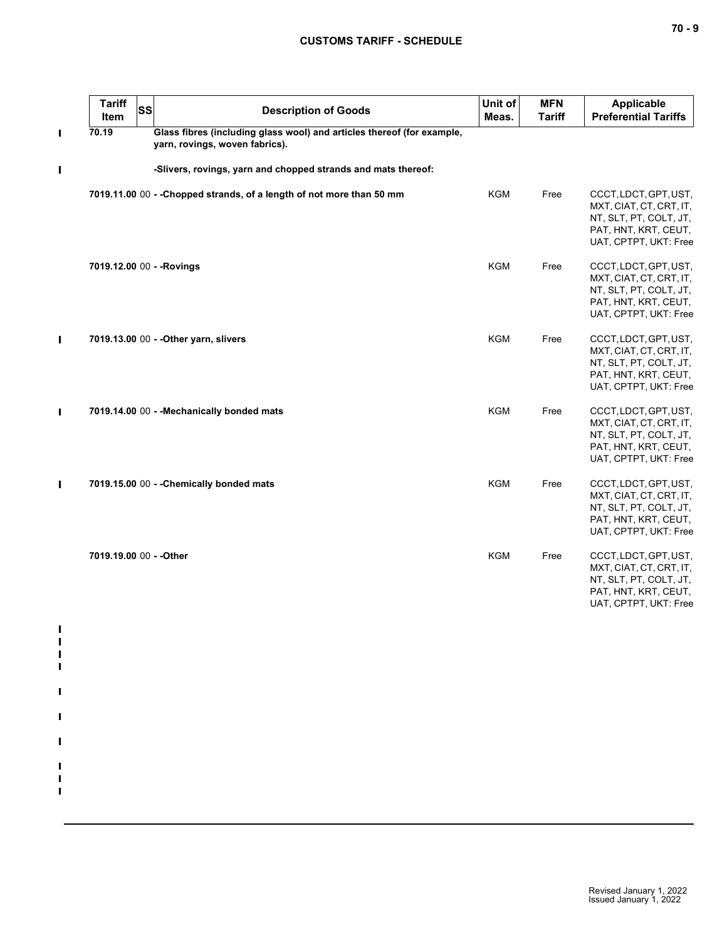| <b>Tariff</b><br>Item   | <b>SS</b> | <b>Description of Goods</b>                                                                              | Unit of<br>Meas. | <b>MFN</b><br><b>Tariff</b> | Applicable<br><b>Preferential Tariffs</b>                                                                                   |
|-------------------------|-----------|----------------------------------------------------------------------------------------------------------|------------------|-----------------------------|-----------------------------------------------------------------------------------------------------------------------------|
| 70.19                   |           | Glass fibres (including glass wool) and articles thereof (for example,<br>yarn, rovings, woven fabrics). |                  |                             |                                                                                                                             |
|                         |           | -Slivers, rovings, yarn and chopped strands and mats thereof:                                            |                  |                             |                                                                                                                             |
|                         |           | 7019.11.00 00 - - Chopped strands, of a length of not more than 50 mm                                    | <b>KGM</b>       | Free                        | CCCT, LDCT, GPT, UST,<br>MXT, CIAT, CT, CRT, IT,<br>NT, SLT, PT, COLT, JT,<br>PAT, HNT, KRT, CEUT,<br>UAT, CPTPT, UKT: Free |
|                         |           | 7019.12.00 00 - - Rovings                                                                                | <b>KGM</b>       | Free                        | CCCT, LDCT, GPT, UST,<br>MXT, CIAT, CT, CRT, IT,<br>NT, SLT, PT, COLT, JT,<br>PAT, HNT, KRT, CEUT,<br>UAT, CPTPT, UKT: Free |
|                         |           | 7019.13.00 00 - - Other yarn, slivers                                                                    | <b>KGM</b>       | Free                        | CCCT, LDCT, GPT, UST,<br>MXT, CIAT, CT, CRT, IT,<br>NT, SLT, PT, COLT, JT,<br>PAT, HNT, KRT, CEUT,<br>UAT, CPTPT, UKT: Free |
|                         |           | 7019.14.00 00 - - Mechanically bonded mats                                                               | <b>KGM</b>       | Free                        | CCCT, LDCT, GPT, UST,<br>MXT, CIAT, CT, CRT, IT,<br>NT, SLT, PT, COLT, JT,<br>PAT, HNT, KRT, CEUT,<br>UAT, CPTPT, UKT: Free |
|                         |           | 7019.15.00 00 - - Chemically bonded mats                                                                 | <b>KGM</b>       | Free                        | CCCT, LDCT, GPT, UST,<br>MXT, CIAT, CT, CRT, IT,<br>NT, SLT, PT, COLT, JT,<br>PAT, HNT, KRT, CEUT,<br>UAT, CPTPT, UKT: Free |
| 7019.19.00 00 - - Other |           |                                                                                                          | <b>KGM</b>       | Free                        | CCCT, LDCT, GPT, UST,<br>MXT, CIAT, CT, CRT, IT,<br>NT, SLT, PT, COLT, JT,<br>PAT, HNT, KRT, CEUT,<br>UAT, CPTPT, UKT: Free |
|                         |           |                                                                                                          |                  |                             |                                                                                                                             |
|                         |           |                                                                                                          |                  |                             |                                                                                                                             |
|                         |           |                                                                                                          |                  |                             |                                                                                                                             |
|                         |           |                                                                                                          |                  |                             |                                                                                                                             |
|                         |           |                                                                                                          |                  |                             |                                                                                                                             |
|                         |           |                                                                                                          |                  |                             |                                                                                                                             |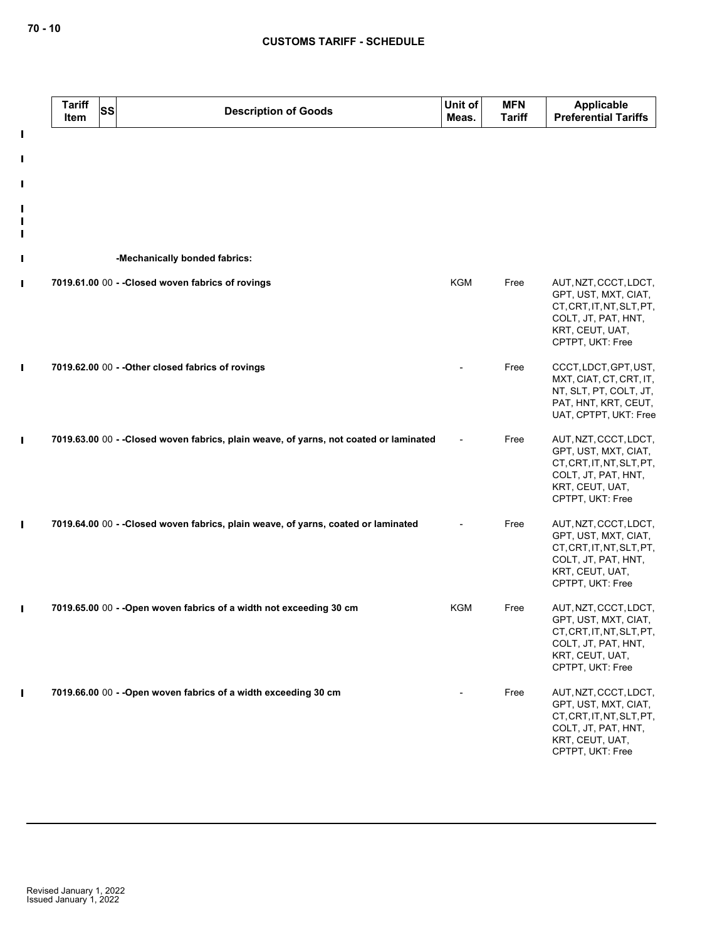|                                 | <b>Tariff</b><br><b>SS</b><br>Item | <b>Description of Goods</b>                                                            | Unit of<br>Meas. | <b>MFN</b><br><b>Tariff</b> | Applicable<br><b>Preferential Tariffs</b>                                                                                                |
|---------------------------------|------------------------------------|----------------------------------------------------------------------------------------|------------------|-----------------------------|------------------------------------------------------------------------------------------------------------------------------------------|
| I<br>I<br>$\mathbf l$           |                                    |                                                                                        |                  |                             |                                                                                                                                          |
| I<br>$\mathbf I$<br>$\mathbf I$ |                                    |                                                                                        |                  |                             |                                                                                                                                          |
| $\mathbf I$                     |                                    | -Mechanically bonded fabrics:                                                          |                  |                             |                                                                                                                                          |
| П                               |                                    | 7019.61.00 00 - - Closed woven fabrics of rovings                                      | <b>KGM</b>       | Free                        | AUT, NZT, CCCT, LDCT,<br>GPT, UST, MXT, CIAT,<br>CT, CRT, IT, NT, SLT, PT,<br>COLT, JT, PAT, HNT,<br>KRT, CEUT, UAT,<br>CPTPT, UKT: Free |
| П                               |                                    | 7019.62.00 00 - - Other closed fabrics of rovings                                      |                  | Free                        | CCCT, LDCT, GPT, UST,<br>MXT, CIAT, CT, CRT, IT,<br>NT, SLT, PT, COLT, JT,<br>PAT, HNT, KRT, CEUT,<br>UAT, CPTPT, UKT: Free              |
| $\mathbf I$                     |                                    | 7019.63.00 00 - - Closed woven fabrics, plain weave, of yarns, not coated or laminated |                  | Free                        | AUT, NZT, CCCT, LDCT,<br>GPT, UST, MXT, CIAT,<br>CT, CRT, IT, NT, SLT, PT,<br>COLT, JT, PAT, HNT,<br>KRT, CEUT, UAT,<br>CPTPT, UKT: Free |
| $\mathbf I$                     |                                    | 7019.64.00 00 - - Closed woven fabrics, plain weave, of yarns, coated or laminated     |                  | Free                        | AUT, NZT, CCCT, LDCT,<br>GPT, UST, MXT, CIAT,<br>CT, CRT, IT, NT, SLT, PT,<br>COLT, JT, PAT, HNT,<br>KRT, CEUT, UAT,<br>CPTPT, UKT: Free |
| П                               |                                    | 7019.65.00 00 - - Open woven fabrics of a width not exceeding 30 cm                    | <b>KGM</b>       | Free                        | AUT, NZT, CCCT, LDCT,<br>GPT, UST, MXT, CIAT,<br>CT, CRT, IT, NT, SLT, PT,<br>COLT, JT, PAT, HNT,<br>KRT, CEUT, UAT,<br>CPTPT, UKT: Free |
|                                 |                                    | 7019.66.00 00 - - Open woven fabrics of a width exceeding 30 cm                        |                  | Free                        | AUT, NZT, CCCT, LDCT,<br>GPT, UST, MXT, CIAT,<br>CT, CRT, IT, NT, SLT, PT,<br>COLT, JT, PAT, HNT,<br>KRT, CEUT, UAT,<br>CPTPT, UKT: Free |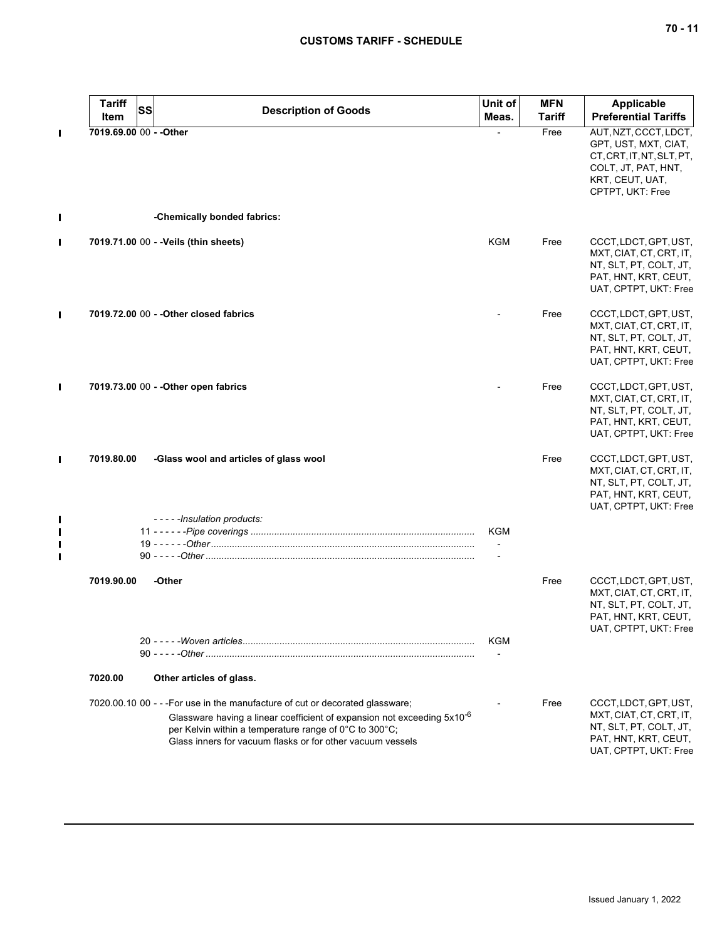|   | <b>Tariff</b><br>Item   | SS<br><b>Description of Goods</b>                                                                                                                                                                                                                                                            | Unit of<br>Meas. | <b>MFN</b><br><b>Tariff</b> | <b>Applicable</b><br><b>Preferential Tariffs</b>                                                                                         |
|---|-------------------------|----------------------------------------------------------------------------------------------------------------------------------------------------------------------------------------------------------------------------------------------------------------------------------------------|------------------|-----------------------------|------------------------------------------------------------------------------------------------------------------------------------------|
|   | 7019.69.00 00 - - Other |                                                                                                                                                                                                                                                                                              |                  | Free                        | AUT, NZT, CCCT, LDCT,<br>GPT, UST, MXT, CIAT,<br>CT, CRT, IT, NT, SLT, PT,<br>COLT, JT, PAT, HNT,<br>KRT, CEUT, UAT,<br>CPTPT, UKT: Free |
|   |                         | -Chemically bonded fabrics:                                                                                                                                                                                                                                                                  |                  |                             |                                                                                                                                          |
| П |                         | 7019.71.00 00 - - Veils (thin sheets)                                                                                                                                                                                                                                                        | KGM              | Free                        | CCCT, LDCT, GPT, UST,<br>MXT, CIAT, CT, CRT, IT,<br>NT, SLT, PT, COLT, JT,<br>PAT, HNT, KRT, CEUT,<br>UAT, CPTPT, UKT: Free              |
|   |                         | 7019.72.00 00 - - Other closed fabrics                                                                                                                                                                                                                                                       |                  | Free                        | CCCT, LDCT, GPT, UST,<br>MXT, CIAT, CT, CRT, IT,<br>NT, SLT, PT, COLT, JT,<br>PAT, HNT, KRT, CEUT,<br>UAT, CPTPT, UKT: Free              |
|   |                         | 7019.73.00 00 - - Other open fabrics                                                                                                                                                                                                                                                         |                  | Free                        | CCCT, LDCT, GPT, UST,<br>MXT, CIAT, CT, CRT, IT,<br>NT, SLT, PT, COLT, JT,<br>PAT, HNT, KRT, CEUT,<br>UAT, CPTPT, UKT: Free              |
|   | 7019.80.00              | -Glass wool and articles of glass wool                                                                                                                                                                                                                                                       |                  | Free                        | CCCT, LDCT, GPT, UST,<br>MXT, CIAT, CT, CRT, IT,<br>NT, SLT, PT, COLT, JT,<br>PAT, HNT, KRT, CEUT,<br>UAT, CPTPT, UKT: Free              |
|   |                         | -----Insulation products:                                                                                                                                                                                                                                                                    | KGM              |                             |                                                                                                                                          |
|   |                         |                                                                                                                                                                                                                                                                                              |                  |                             |                                                                                                                                          |
|   | 7019.90.00              | -Other                                                                                                                                                                                                                                                                                       |                  | Free                        | CCCT, LDCT, GPT, UST,<br>MXT, CIAT, CT, CRT, IT,<br>NT, SLT, PT, COLT, JT,<br>PAT, HNT, KRT, CEUT,<br>UAT, CPTPT, UKT: Free              |
|   |                         |                                                                                                                                                                                                                                                                                              | KGM              |                             |                                                                                                                                          |
|   | 7020.00                 | Other articles of glass.                                                                                                                                                                                                                                                                     |                  |                             |                                                                                                                                          |
|   |                         | 7020.00.10 00 - - - For use in the manufacture of cut or decorated glassware;<br>Glassware having a linear coefficient of expansion not exceeding 5x10 <sup>-6</sup><br>per Kelvin within a temperature range of 0°C to 300°C;<br>Glass inners for vacuum flasks or for other vacuum vessels |                  | Free                        | CCCT, LDCT, GPT, UST,<br>MXT, CIAT, CT, CRT, IT,<br>NT, SLT, PT, COLT, JT,<br>PAT, HNT, KRT, CEUT,<br>UAT, CPTPT, UKT: Free              |